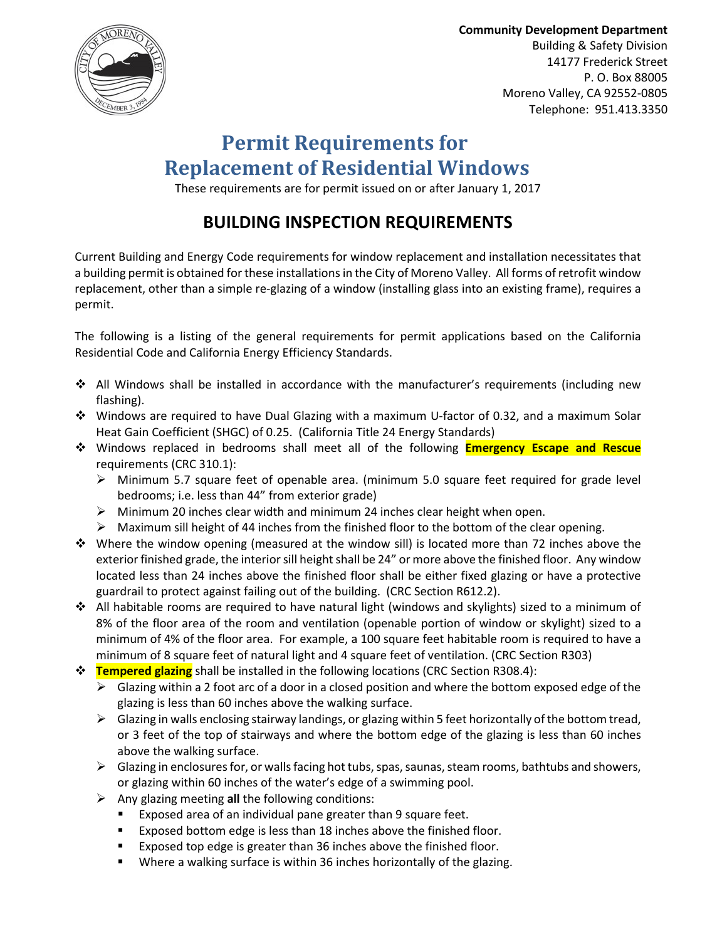

Community Development Department Building & Safety Division 14177 Frederick Street P. O. Box 88005 Moreno Valley, CA 92552-0805 Telephone: 951.413.3350

# Permit Requirements for Replacement of Residential Windows

These requirements are for permit issued on or after January 1, 2017

## BUILDING INSPECTION REQUIREMENTS

Current Building and Energy Code requirements for window replacement and installation necessitates that a building permit is obtained for these installations in the City of Moreno Valley. All forms of retrofit window replacement, other than a simple re-glazing of a window (installing glass into an existing frame), requires a permit.

The following is a listing of the general requirements for permit applications based on the California Residential Code and California Energy Efficiency Standards.

- ❖ All Windows shall be installed in accordance with the manufacturer's requirements (including new flashing).
- Windows are required to have Dual Glazing with a maximum U-factor of 0.32, and a maximum Solar Heat Gain Coefficient (SHGC) of 0.25. (California Title 24 Energy Standards)
- **☆** Windows replaced in bedrooms shall meet all of the following **Emergency Escape and Rescue** requirements (CRC 310.1):
	- > Minimum 5.7 square feet of openable area. (minimum 5.0 square feet required for grade level bedrooms; i.e. less than 44" from exterior grade)
	- > Minimum 20 inches clear width and minimum 24 inches clear height when open.
	- > Maximum sill height of 44 inches from the finished floor to the bottom of the clear opening.
- $\div$  Where the window opening (measured at the window sill) is located more than 72 inches above the exterior finished grade, the interior sill height shall be 24" or more above the finished floor. Any window located less than 24 inches above the finished floor shall be either fixed glazing or have a protective guardrail to protect against failing out of the building. (CRC Section R612.2).
- All habitable rooms are required to have natural light (windows and skylights) sized to a minimum of 8% of the floor area of the room and ventilation (openable portion of window or skylight) sized to a minimum of 4% of the floor area. For example, a 100 square feet habitable room is required to have a minimum of 8 square feet of natural light and 4 square feet of ventilation. (CRC Section R303)
- **Tempered glazing** shall be installed in the following locations (CRC Section R308.4):
	- $\triangleright$  Glazing within a 2 foot arc of a door in a closed position and where the bottom exposed edge of the glazing is less than 60 inches above the walking surface.
	- > Glazing in walls enclosing stairway landings, or glazing within 5 feet horizontally of the bottom tread, or 3 feet of the top of stairways and where the bottom edge of the glazing is less than 60 inches above the walking surface.
	- > Glazing in enclosures for, or walls facing hot tubs, spas, saunas, steam rooms, bathtubs and showers, or glazing within 60 inches of the water's edge of a swimming pool.
	- > Any glazing meeting all the following conditions:
		- Exposed area of an individual pane greater than 9 square feet.
		- Exposed bottom edge is less than 18 inches above the finished floor.
		- **Exposed top edge is greater than 36 inches above the finished floor.**
		- Where a walking surface is within 36 inches horizontally of the glazing.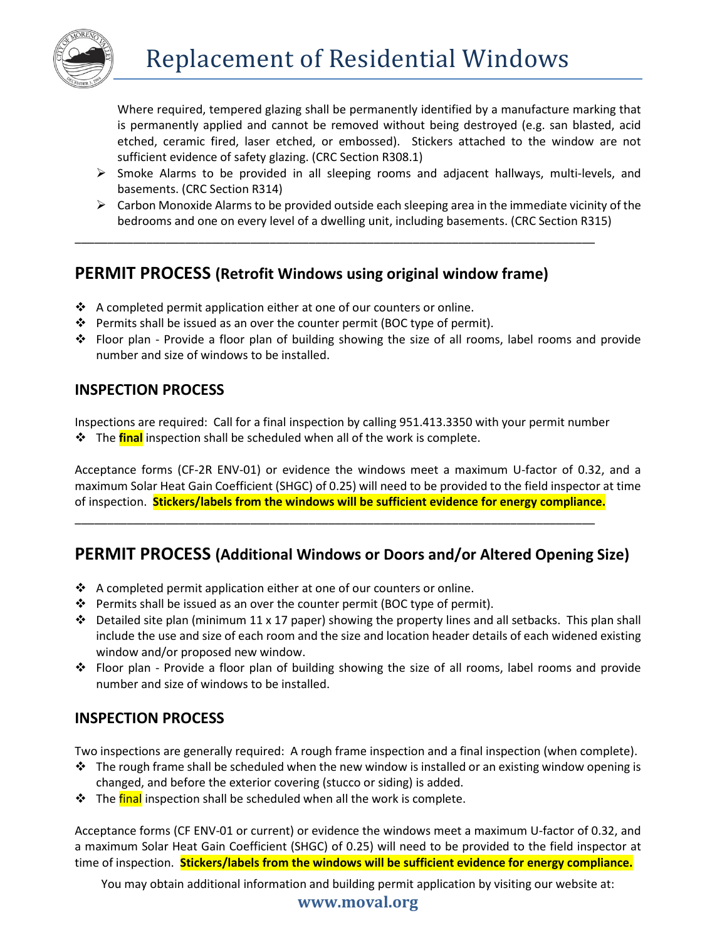

Where required, tempered glazing shall be permanently identified by a manufacture marking that is permanently applied and cannot be removed without being destroyed (e.g. san blasted, acid etched, ceramic fired, laser etched, or embossed). Stickers attached to the window are not sufficient evidence of safety glazing. (CRC Section R308.1)

- > Smoke Alarms to be provided in all sleeping rooms and adjacent hallways, multi-levels, and basements. (CRC Section R314)
- > Carbon Monoxide Alarms to be provided outside each sleeping area in the immediate vicinity of the bedrooms and one on every level of a dwelling unit, including basements. (CRC Section R315)

## PERMIT PROCESS (Retrofit Windows using original window frame)

\_\_\_\_\_\_\_\_\_\_\_\_\_\_\_\_\_\_\_\_\_\_\_\_\_\_\_\_\_\_\_\_\_\_\_\_\_\_\_\_\_\_\_\_\_\_\_\_\_\_\_\_\_\_\_\_\_\_\_\_\_\_\_\_\_\_\_\_\_\_\_\_\_\_\_\_\_\_\_\_

- $\triangle$  A completed permit application either at one of our counters or online.
- Permits shall be issued as an over the counter permit (BOC type of permit).
- Floor plan Provide a floor plan of building showing the size of all rooms, label rooms and provide number and size of windows to be installed.

### INSPECTION PROCESS

Inspections are required: Call for a final inspection by calling 951.413.3350 with your permit number The final inspection shall be scheduled when all of the work is complete.

Acceptance forms (CF-2R ENV-01) or evidence the windows meet a maximum U-factor of 0.32, and a maximum Solar Heat Gain Coefficient (SHGC) of 0.25) will need to be provided to the field inspector at time of inspection. **Stickers/labels from the windows will be sufficient evidence for energy compliance.** 

## PERMIT PROCESS (Additional Windows or Doors and/or Altered Opening Size)

- $\triangle$  A completed permit application either at one of our counters or online.
- $\clubsuit$  Permits shall be issued as an over the counter permit (BOC type of permit).
- ► Detailed site plan (minimum 11 x 17 paper) showing the property lines and all setbacks. This plan shall include the use and size of each room and the size and location header details of each widened existing window and/or proposed new window.
- Floor plan Provide a floor plan of building showing the size of all rooms, label rooms and provide number and size of windows to be installed.

### INSPECTION PROCESS

Two inspections are generally required: A rough frame inspection and a final inspection (when complete).

- $\cdot \cdot$  The rough frame shall be scheduled when the new window is installed or an existing window opening is changed, and before the exterior covering (stucco or siding) is added.
- The final inspection shall be scheduled when all the work is complete.

Acceptance forms (CF ENV-01 or current) or evidence the windows meet a maximum U-factor of 0.32, and a maximum Solar Heat Gain Coefficient (SHGC) of 0.25) will need to be provided to the field inspector at time of inspection. Stickers/labels from the windows will be sufficient evidence for energy compliance.

You may obtain additional information and building permit application by visiting our website at:

#### www.moval.org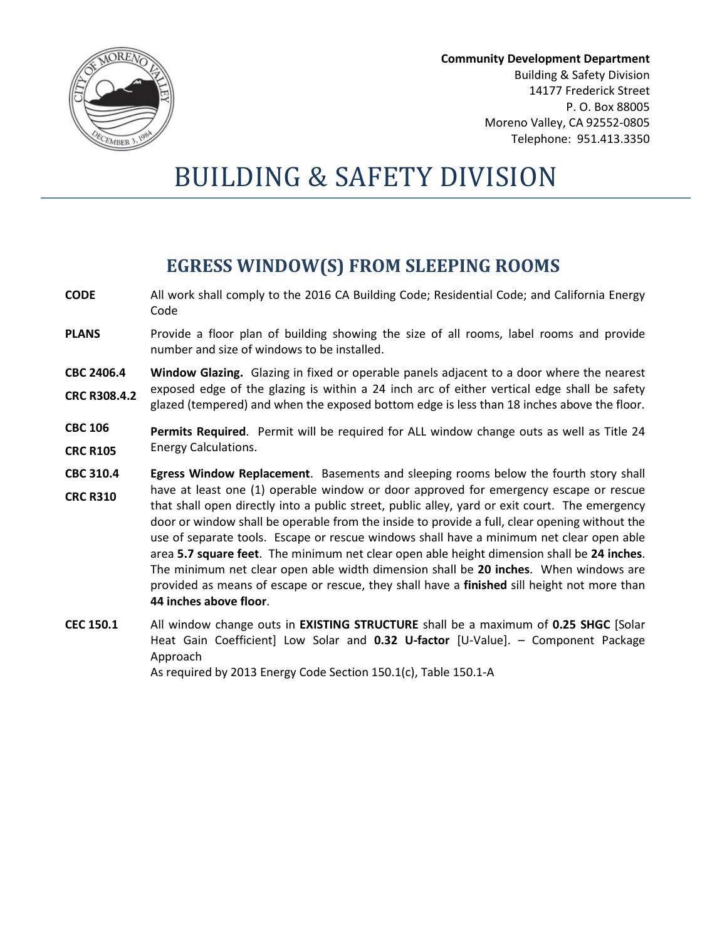

Community Development Department Building & Safety Division 14177 Frederick Street P. O. Box 88005 Moreno Valley, CA 92552-0805 Telephone: 951.413.3350

# BUILDING & SAFETY DIVISION

## EGRESS WINDOW(S) FROM SLEEPING ROOMS

- CODE All work shall comply to the 2016 CA Building Code; Residential Code; and California Energy Code
- **PLANS** Provide a floor plan of building showing the size of all rooms, label rooms and provide number and size of windows to be installed.
- CBC 2406.4 CRC R308.4.2 Window Glazing. Glazing in fixed or operable panels adjacent to a door where the nearest exposed edge of the glazing is within a 24 inch arc of either vertical edge shall be safety glazed (tempered) and when the exposed bottom edge is less than 18 inches above the floor.
- CBC 106 CRC R105 Permits Required. Permit will be required for ALL window change outs as well as Title 24 Energy Calculations.
- CBC 310.4 CRC R310 Egress Window Replacement. Basements and sleeping rooms below the fourth story shall have at least one (1) operable window or door approved for emergency escape or rescue that shall open directly into a public street, public alley, yard or exit court. The emergency door or window shall be operable from the inside to provide a full, clear opening without the use of separate tools. Escape or rescue windows shall have a minimum net clear open able area 5.7 square feet. The minimum net clear open able height dimension shall be 24 inches. The minimum net clear open able width dimension shall be 20 inches. When windows are provided as means of escape or rescue, they shall have a finished sill height not more than 44 inches above floor.
- CEC 150.1 All window change outs in EXISTING STRUCTURE shall be a maximum of 0.25 SHGC [Solar Heat Gain Coefficient] Low Solar and 0.32 U-factor [U-Value]. - Component Package Approach

As required by 2013 Energy Code Section 150.1(c), Table 150.1-A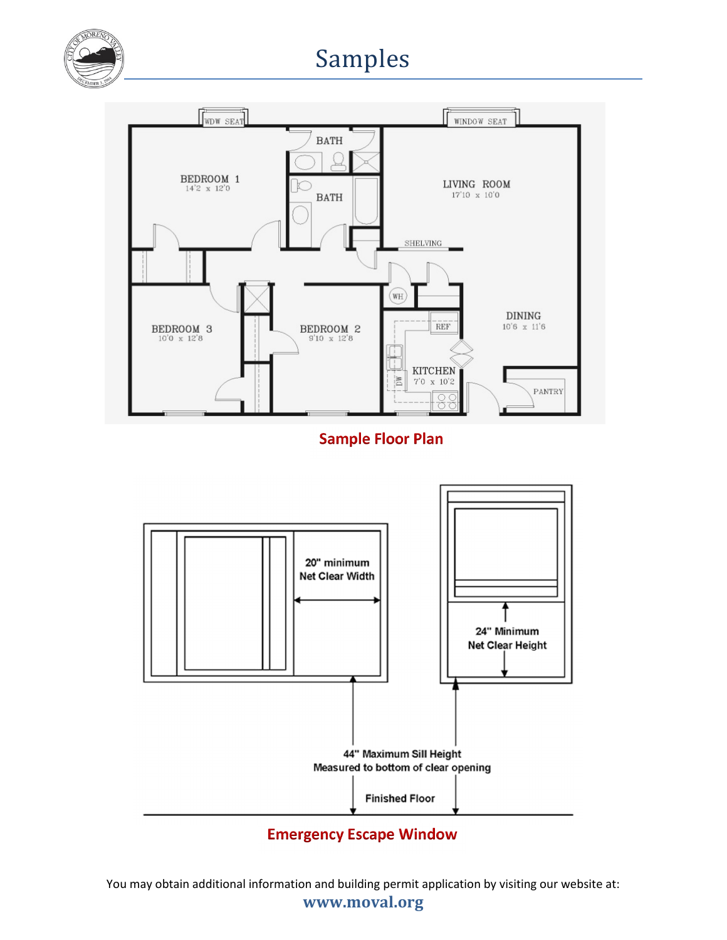

# Samples



Sample Floor Plan



## Emergency Escape Window

You may obtain additional information and building permit application by visiting our website at: www.moval.org